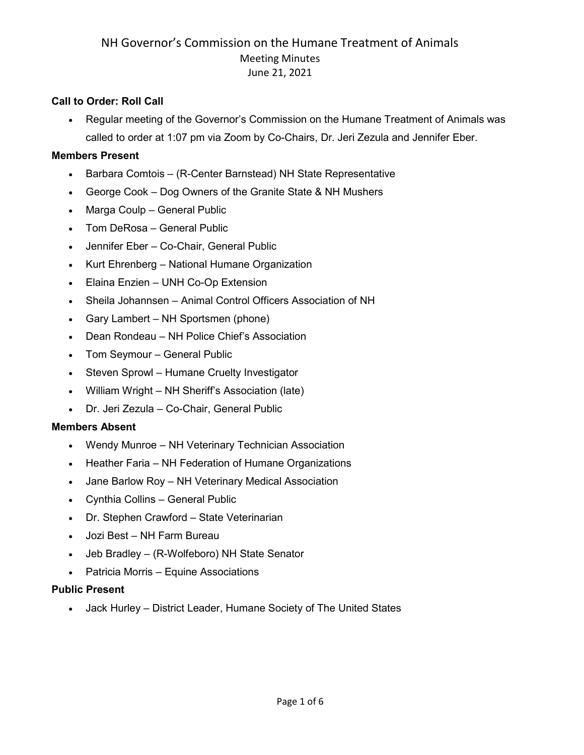#### **Call to Order: Roll Call**

• Regular meeting of the Governor's Commission on the Humane Treatment of Animals was called to order at 1:07 pm via Zoom by Co-Chairs, Dr. Jeri Zezula and Jennifer Eber.

#### **Members Present**

- Barbara Comtois (R-Center Barnstead) NH State Representative
- George Cook Dog Owners of the Granite State & NH Mushers
- Marga Coulp General Public
- Tom DeRosa General Public
- Jennifer Eber Co-Chair, General Public
- Kurt Ehrenberg National Humane Organization
- Elaina Enzien UNH Co-Op Extension
- Sheila Johannsen Animal Control Officers Association of NH
- Gary Lambert NH Sportsmen (phone)
- Dean Rondeau NH Police Chief's Association
- Tom Seymour General Public
- Steven Sprowl Humane Cruelty Investigator
- William Wright NH Sheriff's Association (late)
- Dr. Jeri Zezula Co-Chair, General Public

#### **Members Absent**

- Wendy Munroe NH Veterinary Technician Association
- Heather Faria NH Federation of Humane Organizations
- Jane Barlow Roy NH Veterinary Medical Association
- Cynthia Collins General Public
- Dr. Stephen Crawford State Veterinarian
- Jozi Best NH Farm Bureau
- Jeb Bradley (R-Wolfeboro) NH State Senator
- Patricia Morris Equine Associations

#### **Public Present**

• Jack Hurley – District Leader, Humane Society of The United States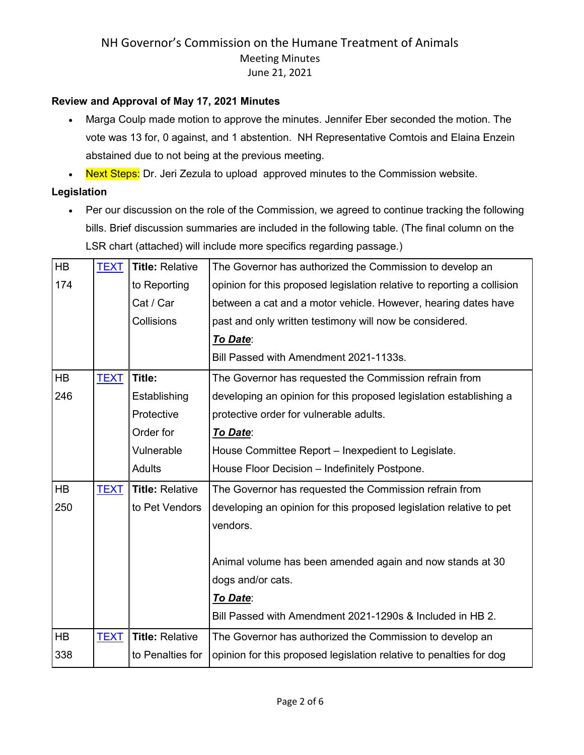### **Review and Approval of May 17, 2021 Minutes**

- Marga Coulp made motion to approve the minutes. Jennifer Eber seconded the motion. The vote was 13 for, 0 against, and 1 abstention. NH Representative Comtois and Elaina Enzein abstained due to not being at the previous meeting.
- Next Steps: Dr. Jeri Zezula to upload approved minutes to the Commission website.

#### **Legislation**

• Per our discussion on the role of the Commission, we agreed to continue tracking the following bills. Brief discussion summaries are included in the following table. (The final column on the LSR chart (attached) will include more specifics regarding passage.)

| HB        | <b>TEXT</b> | <b>Title: Relative</b> | The Governor has authorized the Commission to develop an                |
|-----------|-------------|------------------------|-------------------------------------------------------------------------|
| 174       |             | to Reporting           | opinion for this proposed legislation relative to reporting a collision |
|           |             | Cat / Car              | between a cat and a motor vehicle. However, hearing dates have          |
|           |             | Collisions             | past and only written testimony will now be considered.                 |
|           |             |                        | To Date:                                                                |
|           |             |                        | Bill Passed with Amendment 2021-1133s.                                  |
| <b>HB</b> | <b>TEXT</b> | Title:                 | The Governor has requested the Commission refrain from                  |
| 246       |             | Establishing           | developing an opinion for this proposed legislation establishing a      |
|           |             | Protective             | protective order for vulnerable adults.                                 |
|           |             | Order for              | To Date:                                                                |
|           |             | Vulnerable             | House Committee Report - Inexpedient to Legislate.                      |
|           |             | <b>Adults</b>          | House Floor Decision - Indefinitely Postpone.                           |
| <b>HB</b> | <b>TEXT</b> | <b>Title: Relative</b> | The Governor has requested the Commission refrain from                  |
| 250       |             | to Pet Vendors         | developing an opinion for this proposed legislation relative to pet     |
|           |             |                        | vendors.                                                                |
|           |             |                        |                                                                         |
|           |             |                        | Animal volume has been amended again and now stands at 30               |
|           |             |                        | dogs and/or cats.                                                       |
|           |             |                        | To Date:                                                                |
|           |             |                        | Bill Passed with Amendment 2021-1290s & Included in HB 2.               |
| <b>HB</b> | <b>TEXT</b> | <b>Title: Relative</b> | The Governor has authorized the Commission to develop an                |
| 338       |             | to Penalties for       | opinion for this proposed legislation relative to penalties for dog     |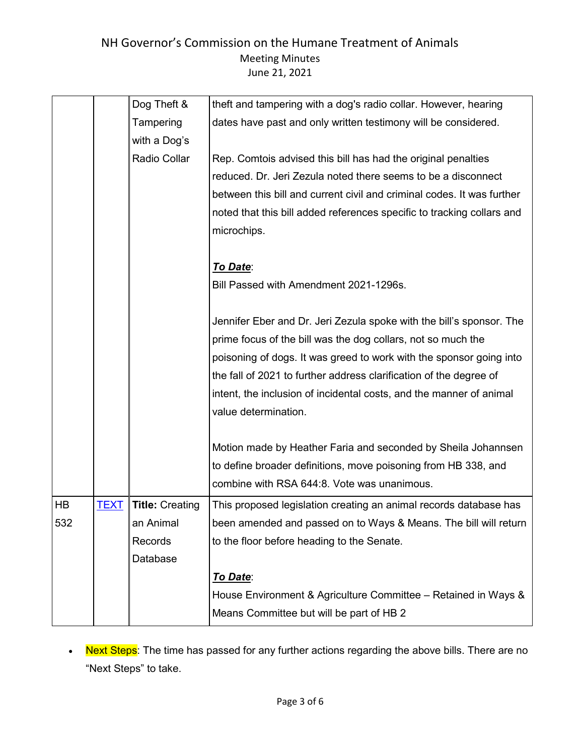|     |             | Dog Theft &            | theft and tampering with a dog's radio collar. However, hearing        |
|-----|-------------|------------------------|------------------------------------------------------------------------|
|     |             | Tampering              | dates have past and only written testimony will be considered.         |
|     |             | with a Dog's           |                                                                        |
|     |             | Radio Collar           | Rep. Comtois advised this bill has had the original penalties          |
|     |             |                        | reduced. Dr. Jeri Zezula noted there seems to be a disconnect          |
|     |             |                        | between this bill and current civil and criminal codes. It was further |
|     |             |                        | noted that this bill added references specific to tracking collars and |
|     |             |                        | microchips.                                                            |
|     |             |                        |                                                                        |
|     |             |                        | To Date:                                                               |
|     |             |                        | Bill Passed with Amendment 2021-1296s.                                 |
|     |             |                        |                                                                        |
|     |             |                        | Jennifer Eber and Dr. Jeri Zezula spoke with the bill's sponsor. The   |
|     |             |                        | prime focus of the bill was the dog collars, not so much the           |
|     |             |                        | poisoning of dogs. It was greed to work with the sponsor going into    |
|     |             |                        | the fall of 2021 to further address clarification of the degree of     |
|     |             |                        | intent, the inclusion of incidental costs, and the manner of animal    |
|     |             |                        | value determination.                                                   |
|     |             |                        |                                                                        |
|     |             |                        | Motion made by Heather Faria and seconded by Sheila Johannsen          |
|     |             |                        | to define broader definitions, move poisoning from HB 338, and         |
|     |             |                        | combine with RSA 644:8. Vote was unanimous.                            |
| HB  | <b>TEXT</b> | <b>Title: Creating</b> | This proposed legislation creating an animal records database has      |
| 532 |             | an Animal              | been amended and passed on to Ways & Means. The bill will return       |
|     |             | Records                | to the floor before heading to the Senate.                             |
|     |             | Database               |                                                                        |
|     |             |                        | To Date:                                                               |
|     |             |                        | House Environment & Agriculture Committee - Retained in Ways &         |
|     |             |                        | Means Committee but will be part of HB 2                               |

• Next Steps: The time has passed for any further actions regarding the above bills. There are no "Next Steps" to take.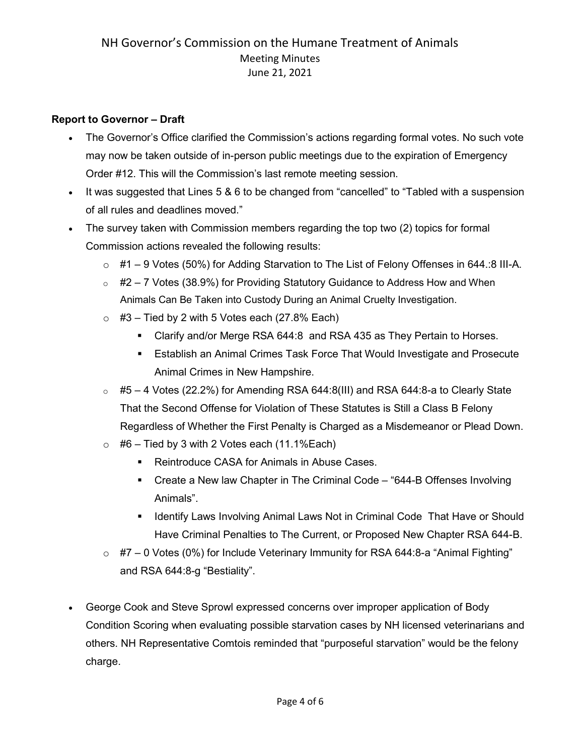### **Report to Governor – Draft**

- The Governor's Office clarified the Commission's actions regarding formal votes. No such vote may now be taken outside of in-person public meetings due to the expiration of Emergency Order #12. This will the Commission's last remote meeting session.
- It was suggested that Lines 5 & 6 to be changed from "cancelled" to "Tabled with a suspension of all rules and deadlines moved."
- The survey taken with Commission members regarding the top two (2) topics for formal Commission actions revealed the following results:
	- o #1 9 Votes (50%) for Adding Starvation to The List of Felony Offenses in 644.:8 III-A.
	- $\circ$  #2 7 Votes (38.9%) for Providing Statutory Guidance to Address How and When Animals Can Be Taken into Custody During an Animal Cruelty Investigation.
	- $\circ$  #3 Tied by 2 with 5 Votes each (27.8% Each)
		- Clarify and/or Merge RSA 644:8 and RSA 435 as They Pertain to Horses.
		- Establish an Animal Crimes Task Force That Would Investigate and Prosecute Animal Crimes in New Hampshire.
	- $\circ$  #5 4 Votes (22.2%) for Amending RSA 644:8(III) and RSA 644:8-a to Clearly State That the Second Offense for Violation of These Statutes is Still a Class B Felony Regardless of Whether the First Penalty is Charged as a Misdemeanor or Plead Down.
	- $\circ$  #6 Tied by 3 with 2 Votes each (11.1%Each)
		- Reintroduce CASA for Animals in Abuse Cases.
		- Create a New law Chapter in The Criminal Code "644-B Offenses Involving Animals".
		- **IDED IDENTIFY CONTEX IN A THE INCORDITY IN A THE INCORDITY IS AN INCORDITY IN A THAT IS SHOULD IN SHOULD IS A THAT IS SHOULD IS A THAT IS A THAT IS A THAT IS A THAT IS A THAT IS A THAT IS A THAT IS A THAT IS A THAT IS A T** Have Criminal Penalties to The Current, or Proposed New Chapter RSA 644-B.
	- $\circ$  #7 0 Votes (0%) for Include Veterinary Immunity for RSA 644:8-a "Animal Fighting" and RSA 644:8-g "Bestiality".
- George Cook and Steve Sprowl expressed concerns over improper application of Body Condition Scoring when evaluating possible starvation cases by NH licensed veterinarians and others. NH Representative Comtois reminded that "purposeful starvation" would be the felony charge.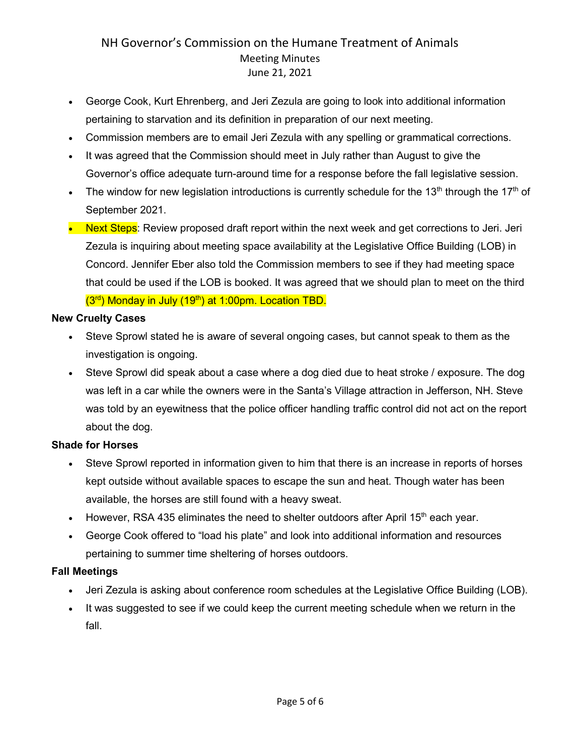- George Cook, Kurt Ehrenberg, and Jeri Zezula are going to look into additional information pertaining to starvation and its definition in preparation of our next meeting.
- Commission members are to email Jeri Zezula with any spelling or grammatical corrections.
- It was agreed that the Commission should meet in July rather than August to give the Governor's office adequate turn-around time for a response before the fall legislative session.
- The window for new legislation introductions is currently schedule for the 13<sup>th</sup> through the 17<sup>th</sup> of September 2021.
- Next Steps: Review proposed draft report within the next week and get corrections to Jeri. Jeri Zezula is inquiring about meeting space availability at the Legislative Office Building (LOB) in Concord. Jennifer Eber also told the Commission members to see if they had meeting space that could be used if the LOB is booked. It was agreed that we should plan to meet on the third  $(3<sup>rd</sup>)$  Monday in July  $(19<sup>th</sup>)$  at 1:00pm. Location TBD.

#### **New Cruelty Cases**

- Steve Sprowl stated he is aware of several ongoing cases, but cannot speak to them as the investigation is ongoing.
- Steve Sprowl did speak about a case where a dog died due to heat stroke / exposure. The dog was left in a car while the owners were in the Santa's Village attraction in Jefferson, NH. Steve was told by an eyewitness that the police officer handling traffic control did not act on the report about the dog.

### **Shade for Horses**

- Steve Sprowl reported in information given to him that there is an increase in reports of horses kept outside without available spaces to escape the sun and heat. Though water has been available, the horses are still found with a heavy sweat.
- However, RSA 435 eliminates the need to shelter outdoors after April 15<sup>th</sup> each year.
- George Cook offered to "load his plate" and look into additional information and resources pertaining to summer time sheltering of horses outdoors.

### **Fall Meetings**

- Jeri Zezula is asking about conference room schedules at the Legislative Office Building (LOB).
- It was suggested to see if we could keep the current meeting schedule when we return in the fall.